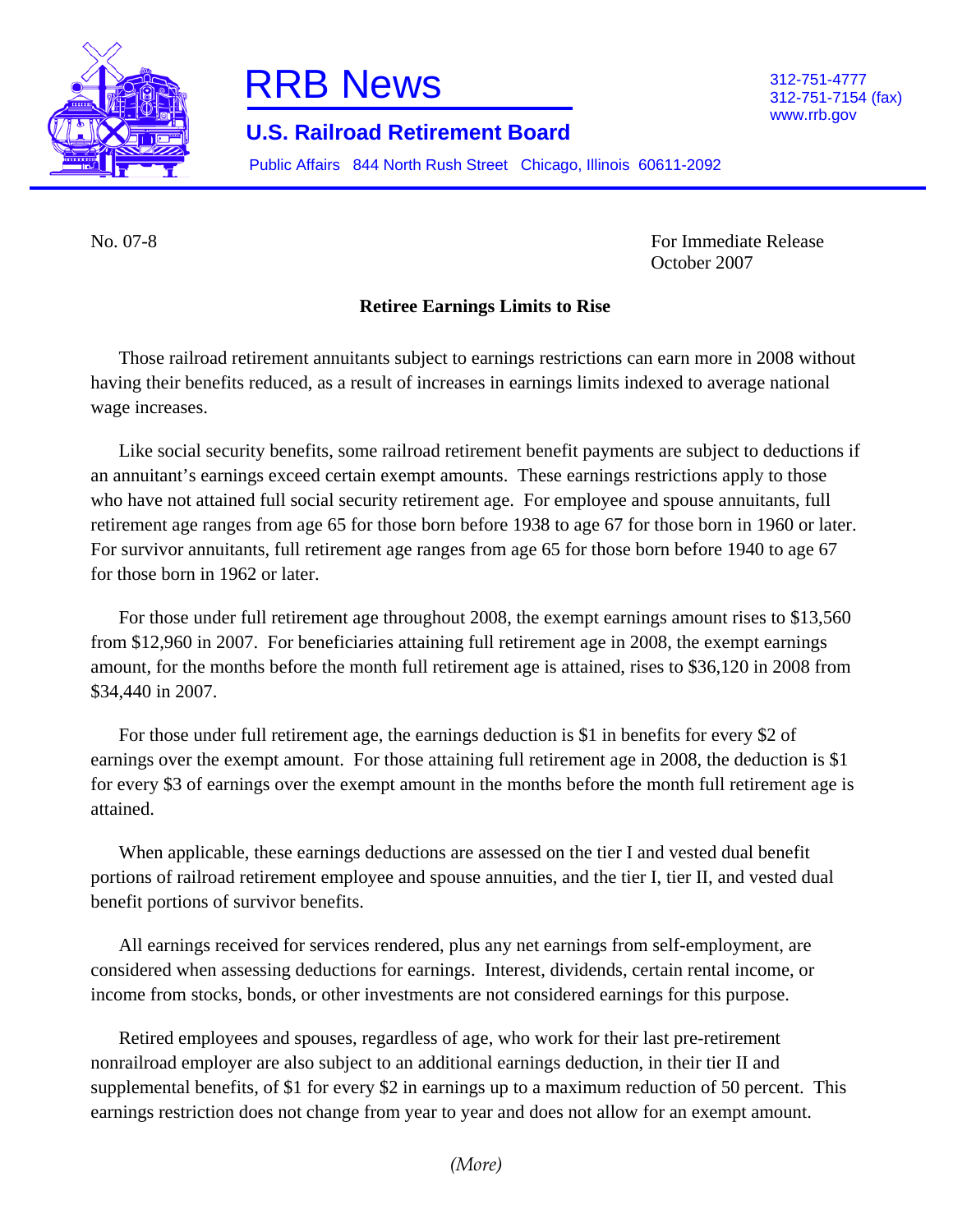



312-751-7154 (fax) www.rrb.gov

## **U.S. Railroad Retirement Board**

Public Affairs 844 North Rush Street Chicago, Illinois 60611-2092

No. 07-8 For Immediate Release October 2007

## **Retiree Earnings Limits to Rise**

Those railroad retirement annuitants subject to earnings restrictions can earn more in 2008 without having their benefits reduced, as a result of increases in earnings limits indexed to average national wage increases.

Like social security benefits, some railroad retirement benefit payments are subject to deductions if an annuitant's earnings exceed certain exempt amounts. These earnings restrictions apply to those who have not attained full social security retirement age. For employee and spouse annuitants, full retirement age ranges from age 65 for those born before 1938 to age 67 for those born in 1960 or later. For survivor annuitants, full retirement age ranges from age 65 for those born before 1940 to age 67 for those born in 1962 or later.

For those under full retirement age throughout 2008, the exempt earnings amount rises to \$13,560 from \$12,960 in 2007. For beneficiaries attaining full retirement age in 2008, the exempt earnings amount, for the months before the month full retirement age is attained, rises to \$36,120 in 2008 from \$34,440 in 2007.

For those under full retirement age, the earnings deduction is \$1 in benefits for every \$2 of earnings over the exempt amount. For those attaining full retirement age in 2008, the deduction is \$1 for every \$3 of earnings over the exempt amount in the months before the month full retirement age is attained.

When applicable, these earnings deductions are assessed on the tier I and vested dual benefit portions of railroad retirement employee and spouse annuities, and the tier I, tier II, and vested dual benefit portions of survivor benefits.

All earnings received for services rendered, plus any net earnings from self-employment, are considered when assessing deductions for earnings. Interest, dividends, certain rental income, or income from stocks, bonds, or other investments are not considered earnings for this purpose.

Retired employees and spouses, regardless of age, who work for their last pre-retirement nonrailroad employer are also subject to an additional earnings deduction, in their tier II and supplemental benefits, of \$1 for every \$2 in earnings up to a maximum reduction of 50 percent. This earnings restriction does not change from year to year and does not allow for an exempt amount.